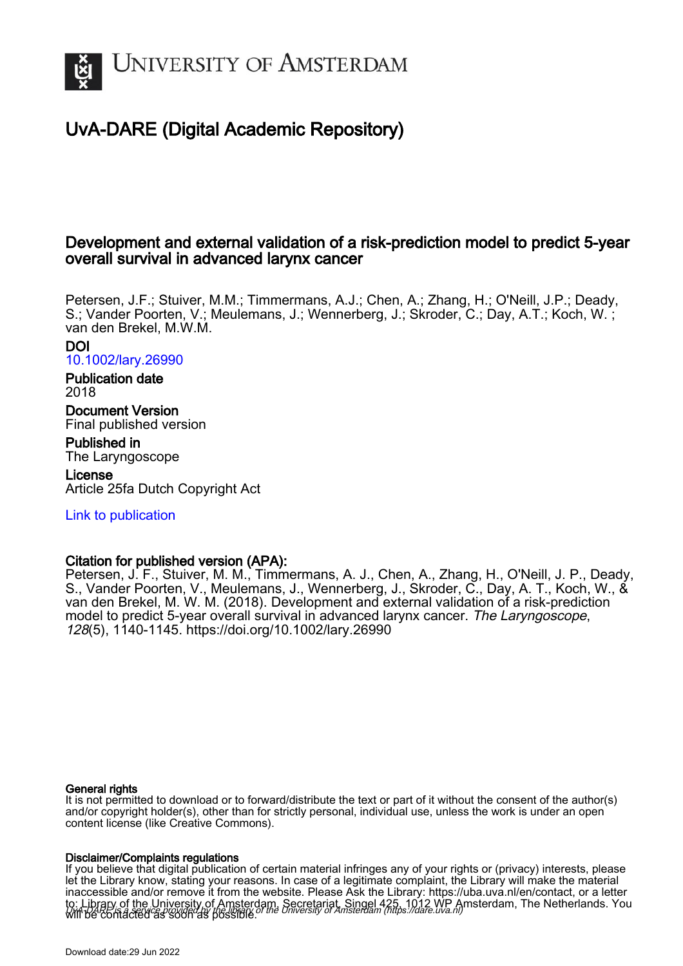

# UvA-DARE (Digital Academic Repository)

# Development and external validation of a risk-prediction model to predict 5-year overall survival in advanced larynx cancer

Petersen, J.F.; Stuiver, M.M.; Timmermans, A.J.; Chen, A.; Zhang, H.; O'Neill, J.P.; Deady, S.; Vander Poorten, V.; Meulemans, J.; Wennerberg, J.; Skroder, C.; Day, A.T.; Koch, W.; van den Brekel, M.W.M.

DOI [10.1002/lary.26990](https://doi.org/10.1002/lary.26990)

Publication date 2018

Document Version Final published version

Published in The Laryngoscope

License Article 25fa Dutch Copyright Act

[Link to publication](https://dare.uva.nl/personal/pure/en/publications/development-and-external-validation-of-a-riskprediction-model-to-predict-5year-overall-survival-in-advanced-larynx-cancer(e62e6ac0-2af3-40b6-ade4-d85dec9a8eb1).html)

# Citation for published version (APA):

Petersen, J. F., Stuiver, M. M., Timmermans, A. J., Chen, A., Zhang, H., O'Neill, J. P., Deady, S., Vander Poorten, V., Meulemans, J., Wennerberg, J., Skroder, C., Day, A. T., Koch, W., & van den Brekel, M. W. M. (2018). Development and external validation of a risk-prediction model to predict 5-year overall survival in advanced larynx cancer. The Laryngoscope, 128(5), 1140-1145.<https://doi.org/10.1002/lary.26990>

# General rights

It is not permitted to download or to forward/distribute the text or part of it without the consent of the author(s) and/or copyright holder(s), other than for strictly personal, individual use, unless the work is under an open content license (like Creative Commons).

# Disclaimer/Complaints regulations

UvA-DARE is a service provided by the library of the University of Amsterdam (http*s*://dare.uva.nl) If you believe that digital publication of certain material infringes any of your rights or (privacy) interests, please let the Library know, stating your reasons. In case of a legitimate complaint, the Library will make the material inaccessible and/or remove it from the website. Please Ask the Library: https://uba.uva.nl/en/contact, or a letter to: Library of the University of Amsterdam, Secretariat, Singel 425, 1012 WP Amsterdam, The Netherlands. You will be contacted as soon as possible.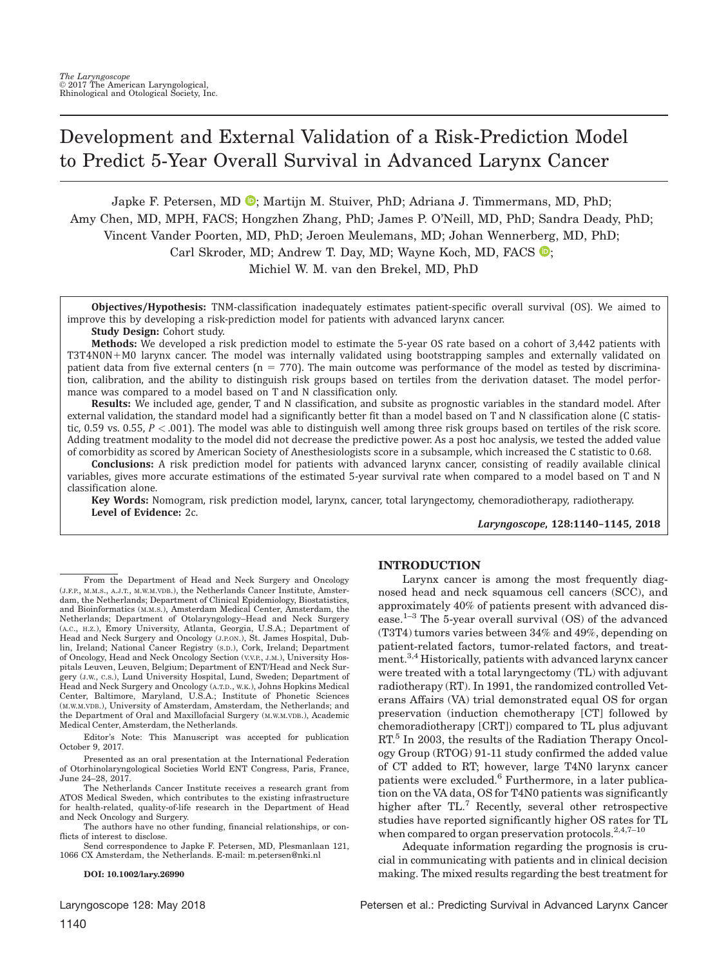# Development and External Validation of a Risk-Prediction Model to Predict 5-Year Overall Survival in Advanced Larynx Cancer

Japke F. Petersen, MD  $\bullet$ ; Martijn M. Stuiver, PhD; Adriana J. Timmermans, MD, PhD; Amy Chen, MD, MPH, FACS; Hongzhen Zhang, PhD; James P. O'Neill, MD, PhD; Sandra Deady, PhD; Vincent Vander Poorten, MD, PhD; Jeroen Meulemans, MD; Johan Wennerberg, MD, PhD; Carl Skroder, MD; Andrew T. Day, MD; Wayne Koch, MD, FACS  $\bullet$ ; Michiel W. M. van den Brekel, MD, PhD

Objectives/Hypothesis: TNM-classification inadequately estimates patient-specific overall survival (OS). We aimed to improve this by developing a risk-prediction model for patients with advanced larynx cancer.

Study Design: Cohort study.

Methods: We developed a risk prediction model to estimate the 5-year OS rate based on a cohort of 3,442 patients with T3T4N0N+M0 larynx cancer. The model was internally validated using bootstrapping samples and externally validated on patient data from five external centers ( $n = 770$ ). The main outcome was performance of the model as tested by discrimination, calibration, and the ability to distinguish risk groups based on tertiles from the derivation dataset. The model performance was compared to a model based on T and N classification only.

Results: We included age, gender, T and N classification, and subsite as prognostic variables in the standard model. After external validation, the standard model had a significantly better fit than a model based on T and N classification alone (C statistic, 0.59 vs. 0.55,  $P < 0.01$ ). The model was able to distinguish well among three risk groups based on tertiles of the risk score. Adding treatment modality to the model did not decrease the predictive power. As a post hoc analysis, we tested the added value of comorbidity as scored by American Society of Anesthesiologists score in a subsample, which increased the C statistic to 0.68.

Conclusions: A risk prediction model for patients with advanced larynx cancer, consisting of readily available clinical variables, gives more accurate estimations of the estimated 5-year survival rate when compared to a model based on T and N classification alone.

Key Words: Nomogram, risk prediction model, larynx, cancer, total laryngectomy, chemoradiotherapy, radiotherapy. Level of Evidence: 2c.

Laryngoscope, 128:1140–1145, 2018

From the Department of Head and Neck Surgery and Oncology (J.F.P., <sup>M</sup>.M.S., <sup>A</sup>.J.T., <sup>M</sup>.W.M.VDB.), the Netherlands Cancer Institute, Amsterdam, the Netherlands; Department of Clinical Epidemiology, Biostatistics, and Bioinformatics (M.M.S.), Amsterdam Medical Center, Amsterdam, the Netherlands; Department of Otolaryngology–Head and Neck Surgery (A.C., <sup>H</sup>.Z.), Emory University, Atlanta, Georgia, U.S.A.; Department of Head and Neck Surgery and Oncology (J.P.ON.), St. James Hospital, Dublin, Ireland; National Cancer Registry (S.D.), Cork, Ireland; Department of Oncology, Head and Neck Oncology Section (V.V.P., <sup>J</sup>.M.), University Hospitals Leuven, Leuven, Belgium; Department of ENT/Head and Neck Surgery (J.W., <sup>C</sup>.S.), Lund University Hospital, Lund, Sweden; Department of Head and Neck Surgery and Oncology (A.T.D., <sup>W</sup>.K.), Johns Hopkins Medical Center, Baltimore, Maryland, U.S.A.; Institute of Phonetic Sciences (M.W.M.VDB.), University of Amsterdam, Amsterdam, the Netherlands; and the Department of Oral and Maxillofacial Surgery (M.W.M.VDB.), Academic Medical Center, Amsterdam, the Netherlands.

Editor's Note: This Manuscript was accepted for publication October 9, 2017.

Presented as an oral presentation at the International Federation of Otorhinolaryngological Societies World ENT Congress, Paris, France, June 24–28, 2017.

The Netherlands Cancer Institute receives a research grant from ATOS Medical Sweden, which contributes to the existing infrastructure for health-related, quality-of-life research in the Department of Head and Neck Oncology and Surgery.

The authors have no other funding, financial relationships, or conflicts of interest to disclose.

Send correspondence to Japke F. Petersen, MD, Plesmanlaan 121, 1066 CX Amsterdam, the Netherlands. E-mail: m.petersen@nki.nl

#### DOI: 10.1002/lary.26990

## INTRODUCTION

Larynx cancer is among the most frequently diagnosed head and neck squamous cell cancers (SCC), and approximately 40% of patients present with advanced disease.<sup>1–3</sup> The 5-year overall survival  $(OS)$  of the advanced (T3T4) tumors varies between 34% and 49%, depending on patient-related factors, tumor-related factors, and treatment.<sup>3,4</sup> Historically, patients with advanced larynx cancer were treated with a total laryngectomy (TL) with adjuvant radiotherapy (RT). In 1991, the randomized controlled Veterans Affairs (VA) trial demonstrated equal OS for organ preservation (induction chemotherapy [CT] followed by chemoradiotherapy [CRT]) compared to TL plus adjuvant RT.<sup>5</sup> In 2003, the results of the Radiation Therapy Oncology Group (RTOG) 91-11 study confirmed the added value of CT added to RT; however, large T4N0 larynx cancer patients were excluded.<sup>6</sup> Furthermore, in a later publication on the VA data, OS for T4N0 patients was significantly higher after TL.<sup>7</sup> Recently, several other retrospective studies have reported significantly higher OS rates for TL when compared to organ preservation protocols.<sup>2,4,7-10</sup>

Adequate information regarding the prognosis is crucial in communicating with patients and in clinical decision making. The mixed results regarding the best treatment for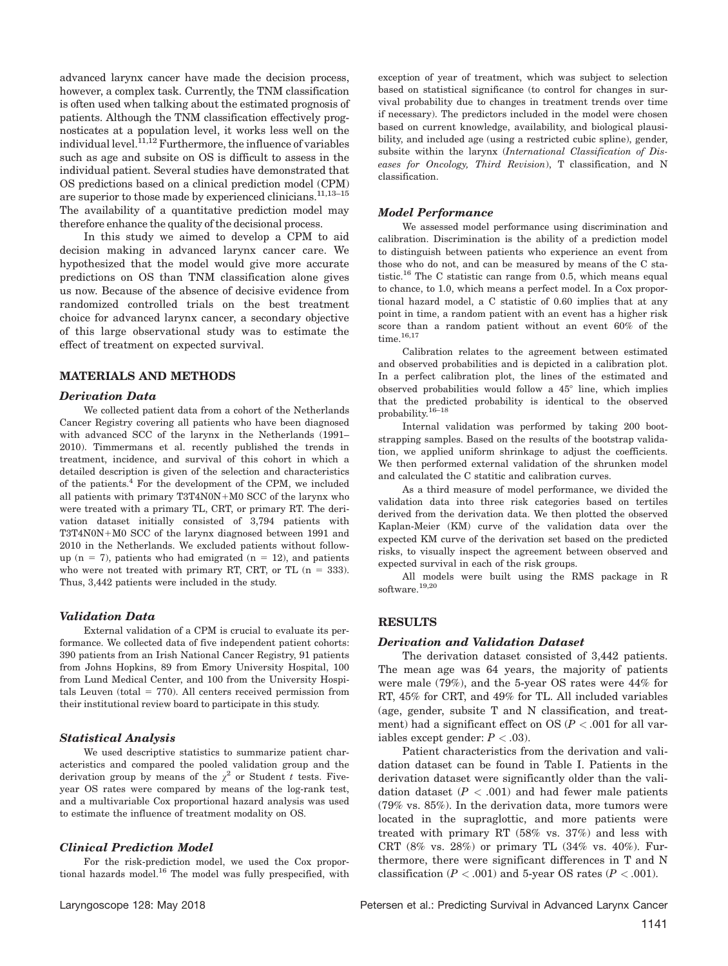advanced larynx cancer have made the decision process, however, a complex task. Currently, the TNM classification is often used when talking about the estimated prognosis of patients. Although the TNM classification effectively prognosticates at a population level, it works less well on the individual level. $^{11,\overline{1}2}$  Furthermore, the influence of variables such as age and subsite on OS is difficult to assess in the individual patient. Several studies have demonstrated that OS predictions based on a clinical prediction model (CPM) are superior to those made by experienced clinicians.<sup>11,13-15</sup> The availability of a quantitative prediction model may therefore enhance the quality of the decisional process.

In this study we aimed to develop a CPM to aid decision making in advanced larynx cancer care. We hypothesized that the model would give more accurate predictions on OS than TNM classification alone gives us now. Because of the absence of decisive evidence from randomized controlled trials on the best treatment choice for advanced larynx cancer, a secondary objective of this large observational study was to estimate the effect of treatment on expected survival.

#### MATERIALS AND METHODS

#### Derivation Data

We collected patient data from a cohort of the Netherlands Cancer Registry covering all patients who have been diagnosed with advanced SCC of the larynx in the Netherlands (1991– 2010). Timmermans et al. recently published the trends in treatment, incidence, and survival of this cohort in which a detailed description is given of the selection and characteristics of the patients.<sup>4</sup> For the development of the CPM, we included all patients with primary  $T3T4N0N+M0$  SCC of the larynx who were treated with a primary TL, CRT, or primary RT. The derivation dataset initially consisted of 3,794 patients with T3T4N0N+M0 SCC of the larynx diagnosed between 1991 and 2010 in the Netherlands. We excluded patients without followup ( $n = 7$ ), patients who had emigrated ( $n = 12$ ), and patients who were not treated with primary RT, CRT, or TL  $(n = 333)$ . Thus, 3,442 patients were included in the study.

#### Validation Data

External validation of a CPM is crucial to evaluate its performance. We collected data of five independent patient cohorts: 390 patients from an Irish National Cancer Registry, 91 patients from Johns Hopkins, 89 from Emory University Hospital, 100 from Lund Medical Center, and 100 from the University Hospitals Leuven (total  $= 770$ ). All centers received permission from their institutional review board to participate in this study.

#### Statistical Analysis

We used descriptive statistics to summarize patient characteristics and compared the pooled validation group and the derivation group by means of the  $\chi^2$  or Student t tests. Fiveyear OS rates were compared by means of the log-rank test, and a multivariable Cox proportional hazard analysis was used to estimate the influence of treatment modality on OS.

#### Clinical Prediction Model

For the risk-prediction model, we used the Cox proportional hazards model.<sup>16</sup> The model was fully prespecified, with exception of year of treatment, which was subject to selection based on statistical significance (to control for changes in survival probability due to changes in treatment trends over time if necessary). The predictors included in the model were chosen based on current knowledge, availability, and biological plausibility, and included age (using a restricted cubic spline), gender, subsite within the larynx (International Classification of Diseases for Oncology, Third Revision), T classification, and N classification.

#### Model Performance

We assessed model performance using discrimination and calibration. Discrimination is the ability of a prediction model to distinguish between patients who experience an event from those who do not, and can be measured by means of the C statistic.<sup>16</sup> The C statistic can range from 0.5, which means equal to chance, to 1.0, which means a perfect model. In a Cox proportional hazard model, a C statistic of 0.60 implies that at any point in time, a random patient with an event has a higher risk score than a random patient without an event 60% of the  $time.<sup>16,17</sup>$ 

Calibration relates to the agreement between estimated and observed probabilities and is depicted in a calibration plot. In a perfect calibration plot, the lines of the estimated and observed probabilities would follow a  $45^{\circ}$  line, which implies that the predicted probability is identical to the observed probability. $^{\rm 16-18}$ 

Internal validation was performed by taking 200 bootstrapping samples. Based on the results of the bootstrap validation, we applied uniform shrinkage to adjust the coefficients. We then performed external validation of the shrunken model and calculated the C statitic and calibration curves.

As a third measure of model performance, we divided the validation data into three risk categories based on tertiles derived from the derivation data. We then plotted the observed Kaplan-Meier (KM) curve of the validation data over the expected KM curve of the derivation set based on the predicted risks, to visually inspect the agreement between observed and expected survival in each of the risk groups.

All models were built using the RMS package in R software.<sup>19,20</sup>

## **RESULTS**

#### Derivation and Validation Dataset

The derivation dataset consisted of 3,442 patients. The mean age was 64 years, the majority of patients were male (79%), and the 5-year OS rates were 44% for RT, 45% for CRT, and 49% for TL. All included variables (age, gender, subsite T and N classification, and treatment) had a significant effect on OS ( $P < .001$  for all variables except gender:  $P < .03$ ).

Patient characteristics from the derivation and validation dataset can be found in Table I. Patients in the derivation dataset were significantly older than the validation dataset  $(P < .001)$  and had fewer male patients (79% vs. 85%). In the derivation data, more tumors were located in the supraglottic, and more patients were treated with primary RT (58% vs. 37%) and less with CRT (8% vs. 28%) or primary TL (34% vs. 40%). Furthermore, there were significant differences in T and N classification ( $P < .001$ ) and 5-year OS rates ( $P < .001$ ).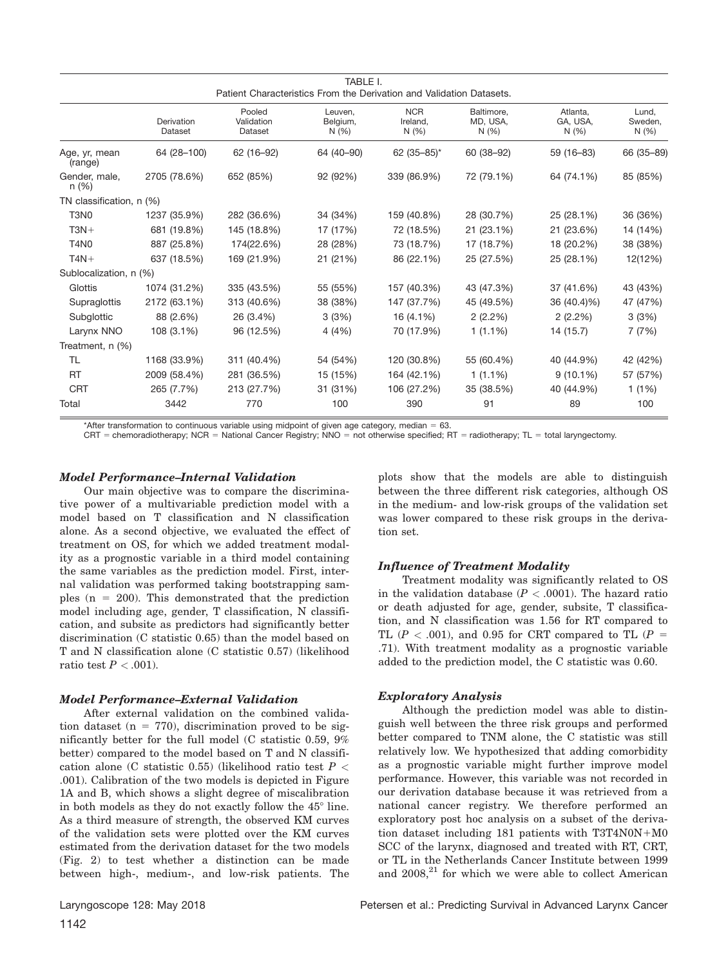| TABLE I.                      |                                                                      |                                 |                              |                                 |                                 |                               |                          |
|-------------------------------|----------------------------------------------------------------------|---------------------------------|------------------------------|---------------------------------|---------------------------------|-------------------------------|--------------------------|
|                               | Patient Characteristics From the Derivation and Validation Datasets. |                                 |                              |                                 |                                 |                               |                          |
|                               | Derivation<br>Dataset                                                | Pooled<br>Validation<br>Dataset | Leuven.<br>Belgium,<br>N(% ) | <b>NCR</b><br>Ireland,<br>N(% ) | Baltimore,<br>MD, USA,<br>N(% ) | Atlanta.<br>GA, USA,<br>N(% ) | Lund.<br>Sweden,<br>N(%) |
| Age, yr, mean<br>(range)      | 64 (28-100)                                                          | 62 (16-92)                      | 64 (40-90)                   | 62 (35-85)*                     | 60 (38-92)                      | 59 (16-83)                    | 66 (35-89)               |
| Gender, male,<br>n(%)         | 2705 (78.6%)                                                         | 652 (85%)                       | 92 (92%)                     | 339 (86.9%)                     | 72 (79.1%)                      | 64 (74.1%)                    | 85 (85%)                 |
| TN classification, n (%)      |                                                                      |                                 |                              |                                 |                                 |                               |                          |
| T <sub>3</sub> N <sub>0</sub> | 1237 (35.9%)                                                         | 282 (36.6%)                     | 34 (34%)                     | 159 (40.8%)                     | 28 (30.7%)                      | 25 (28.1%)                    | 36 (36%)                 |
| $T3N+$                        | 681 (19.8%)                                                          | 145 (18.8%)                     | 17 (17%)                     | 72 (18.5%)                      | 21 (23.1%)                      | 21 (23.6%)                    | 14 (14%)                 |
| <b>T4N0</b>                   | 887 (25.8%)                                                          | 174(22.6%)                      | 28 (28%)                     | 73 (18.7%)                      | 17 (18.7%)                      | 18 (20.2%)                    | 38 (38%)                 |
| $T4N+$                        | 637 (18.5%)                                                          | 169 (21.9%)                     | 21 (21%)                     | 86 (22.1%)                      | 25 (27.5%)                      | 25 (28.1%)                    | 12(12%)                  |
| Sublocalization, n (%)        |                                                                      |                                 |                              |                                 |                                 |                               |                          |
| Glottis                       | 1074 (31.2%)                                                         | 335 (43.5%)                     | 55 (55%)                     | 157 (40.3%)                     | 43 (47.3%)                      | 37 (41.6%)                    | 43 (43%)                 |
| Supraglottis                  | 2172 (63.1%)                                                         | 313 (40.6%)                     | 38 (38%)                     | 147 (37.7%)                     | 45 (49.5%)                      | 36 (40.4)%)                   | 47 (47%)                 |
| Subglottic                    | 88 (2.6%)                                                            | 26 (3.4%)                       | 3(3%)                        | 16 (4.1%)                       | 2(2.2%)                         | 2(2.2%)                       | 3(3%)                    |
| Larynx NNO                    | 108 (3.1%)                                                           | 96 (12.5%)                      | 4(4%)                        | 70 (17.9%)                      | $1(1.1\%)$                      | 14 (15.7)                     | 7(7%)                    |
| Treatment, n (%)              |                                                                      |                                 |                              |                                 |                                 |                               |                          |
| <b>TL</b>                     | 1168 (33.9%)                                                         | 311 (40.4%)                     | 54 (54%)                     | 120 (30.8%)                     | 55 (60.4%)                      | 40 (44.9%)                    | 42 (42%)                 |
| <b>RT</b>                     | 2009 (58.4%)                                                         | 281 (36.5%)                     | 15 (15%)                     | 164 (42.1%)                     | $1(1.1\%)$                      | $9(10.1\%)$                   | 57 (57%)                 |
| <b>CRT</b>                    | 265 (7.7%)                                                           | 213 (27.7%)                     | 31 (31%)                     | 106 (27.2%)                     | 35 (38.5%)                      | 40 (44.9%)                    | 1(1%)                    |
| Total                         | 3442                                                                 | 770                             | 100                          | 390                             | 91                              | 89                            | 100                      |

\*After transformation to continuous variable using midpoint of given age category, median = 63.

 $CRT$  = chemoradiotherapy; NCR = National Cancer Registry; NNO = not otherwise specified; RT = radiotherapy; TL = total laryngectomy.

#### Model Performance–Internal Validation

Our main objective was to compare the discriminative power of a multivariable prediction model with a model based on T classification and N classification alone. As a second objective, we evaluated the effect of treatment on OS, for which we added treatment modality as a prognostic variable in a third model containing the same variables as the prediction model. First, internal validation was performed taking bootstrapping samples ( $n = 200$ ). This demonstrated that the prediction model including age, gender, T classification, N classification, and subsite as predictors had significantly better discrimination (C statistic 0.65) than the model based on T and N classification alone (C statistic 0.57) (likelihood ratio test  $P < .001$ ).

#### Model Performance–External Validation

After external validation on the combined validation dataset ( $n = 770$ ), discrimination proved to be significantly better for the full model (C statistic 0.59, 9% better) compared to the model based on T and N classification alone (C statistic 0.55) (likelihood ratio test  $P <$ .001). Calibration of the two models is depicted in Figure 1A and B, which shows a slight degree of miscalibration in both models as they do not exactly follow the  $45^{\circ}$  line. As a third measure of strength, the observed KM curves of the validation sets were plotted over the KM curves estimated from the derivation dataset for the two models (Fig. 2) to test whether a distinction can be made between high-, medium-, and low-risk patients. The plots show that the models are able to distinguish between the three different risk categories, although OS in the medium- and low-risk groups of the validation set was lower compared to these risk groups in the derivation set.

#### Influence of Treatment Modality

Treatment modality was significantly related to OS in the validation database ( $P < .0001$ ). The hazard ratio or death adjusted for age, gender, subsite, T classification, and N classification was 1.56 for RT compared to TL ( $P < .001$ ), and 0.95 for CRT compared to TL ( $P =$ .71). With treatment modality as a prognostic variable added to the prediction model, the C statistic was 0.60.

#### Exploratory Analysis

Although the prediction model was able to distinguish well between the three risk groups and performed better compared to TNM alone, the C statistic was still relatively low. We hypothesized that adding comorbidity as a prognostic variable might further improve model performance. However, this variable was not recorded in our derivation database because it was retrieved from a national cancer registry. We therefore performed an exploratory post hoc analysis on a subset of the derivation dataset including  $181$  patients with T3T4N0N+M0 SCC of the larynx, diagnosed and treated with RT, CRT, or TL in the Netherlands Cancer Institute between 1999 and  $2008<sup>21</sup>$  for which we were able to collect American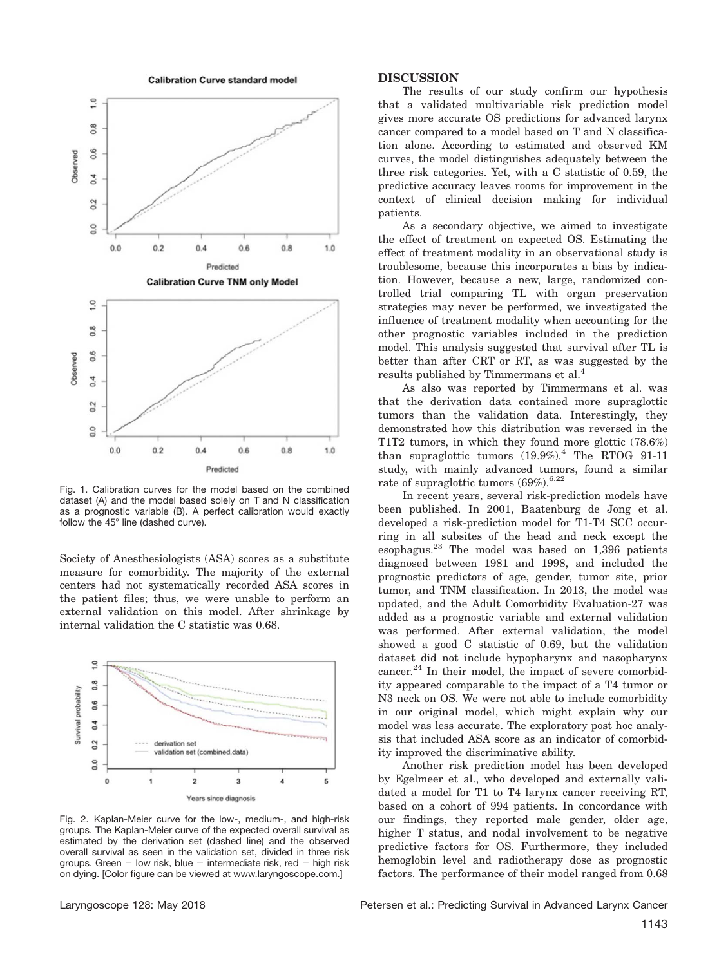

Fig. 1. Calibration curves for the model based on the combined dataset (A) and the model based solely on T and N classification as a prognostic variable (B). A perfect calibration would exactly follow the  $45^\circ$  line (dashed curve).

Society of Anesthesiologists (ASA) scores as a substitute measure for comorbidity. The majority of the external centers had not systematically recorded ASA scores in the patient files; thus, we were unable to perform an external validation on this model. After shrinkage by internal validation the C statistic was 0.68.



Fig. 2. Kaplan-Meier curve for the low-, medium-, and high-risk groups. The Kaplan-Meier curve of the expected overall survival as estimated by the derivation set (dashed line) and the observed overall survival as seen in the validation set, divided in three risk groups. Green = low risk, blue = intermediate risk, red = high risk on dying. [Color figure can be viewed at www.laryngoscope.com.]

#### DISCUSSION

The results of our study confirm our hypothesis that a validated multivariable risk prediction model gives more accurate OS predictions for advanced larynx cancer compared to a model based on T and N classification alone. According to estimated and observed KM curves, the model distinguishes adequately between the three risk categories. Yet, with a C statistic of 0.59, the predictive accuracy leaves rooms for improvement in the context of clinical decision making for individual patients.

As a secondary objective, we aimed to investigate the effect of treatment on expected OS. Estimating the effect of treatment modality in an observational study is troublesome, because this incorporates a bias by indication. However, because a new, large, randomized controlled trial comparing TL with organ preservation strategies may never be performed, we investigated the influence of treatment modality when accounting for the other prognostic variables included in the prediction model. This analysis suggested that survival after TL is better than after CRT or RT, as was suggested by the results published by Timmermans et al.<sup>4</sup>

As also was reported by Timmermans et al. was that the derivation data contained more supraglottic tumors than the validation data. Interestingly, they demonstrated how this distribution was reversed in the T1T2 tumors, in which they found more glottic (78.6%) than supraglottic tumors (19.9%).<sup>4</sup> The RTOG 91-11 study, with mainly advanced tumors, found a similar rate of supraglottic tumors  $(69\%),^{6,22}$ 

In recent years, several risk-prediction models have been published. In 2001, Baatenburg de Jong et al. developed a risk-prediction model for T1-T4 SCC occurring in all subsites of the head and neck except the esophagus.<sup>23</sup> The model was based on 1,396 patients diagnosed between 1981 and 1998, and included the prognostic predictors of age, gender, tumor site, prior tumor, and TNM classification. In 2013, the model was updated, and the Adult Comorbidity Evaluation-27 was added as a prognostic variable and external validation was performed. After external validation, the model showed a good C statistic of 0.69, but the validation dataset did not include hypopharynx and nasopharynx cancer. $^{24}$  In their model, the impact of severe comorbidity appeared comparable to the impact of a T4 tumor or N3 neck on OS. We were not able to include comorbidity in our original model, which might explain why our model was less accurate. The exploratory post hoc analysis that included ASA score as an indicator of comorbidity improved the discriminative ability.

Another risk prediction model has been developed by Egelmeer et al., who developed and externally validated a model for T1 to T4 larynx cancer receiving RT, based on a cohort of 994 patients. In concordance with our findings, they reported male gender, older age, higher T status, and nodal involvement to be negative predictive factors for OS. Furthermore, they included hemoglobin level and radiotherapy dose as prognostic factors. The performance of their model ranged from 0.68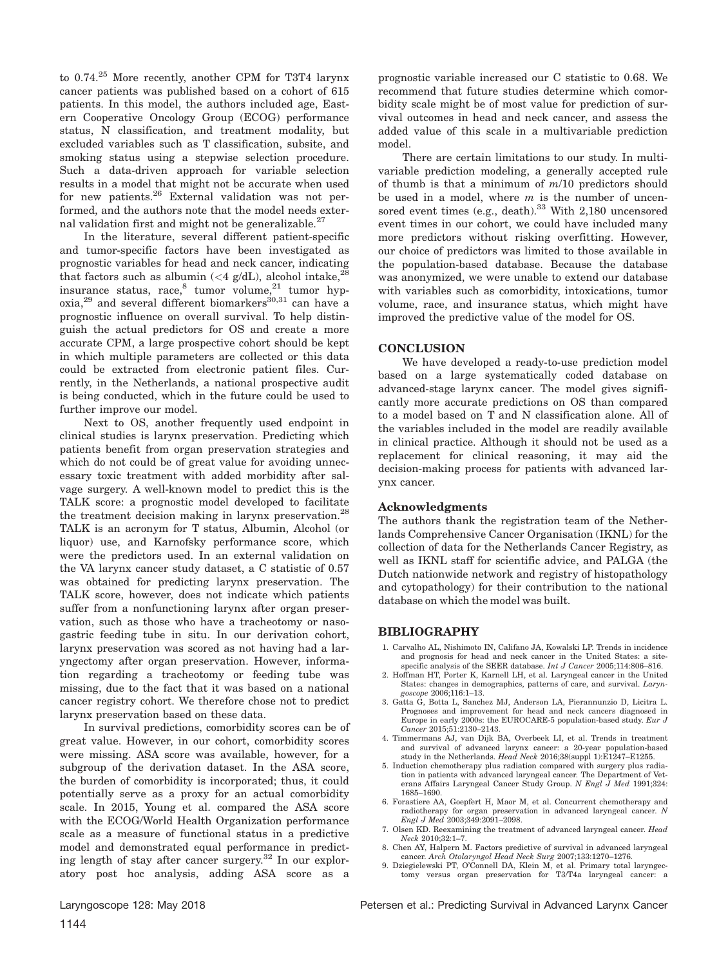to 0.74.<sup>25</sup> More recently, another CPM for T3T4 larynx cancer patients was published based on a cohort of 615 patients. In this model, the authors included age, Eastern Cooperative Oncology Group (ECOG) performance status, N classification, and treatment modality, but excluded variables such as T classification, subsite, and smoking status using a stepwise selection procedure. Such a data-driven approach for variable selection results in a model that might not be accurate when used for new patients.<sup>26</sup> External validation was not performed, and the authors note that the model needs external validation first and might not be generalizable. $27$ 

In the literature, several different patient-specific and tumor-specific factors have been investigated as prognostic variables for head and neck cancer, indicating that factors such as albumin (<4 g/dL), alcohol intake,<sup>2</sup> insurance status, race, tumor volume,  $21$  tumor hyp- $\alpha$ xia,<sup>29</sup> and several different biomarkers<sup>30,31</sup> can have a prognostic influence on overall survival. To help distinguish the actual predictors for OS and create a more accurate CPM, a large prospective cohort should be kept in which multiple parameters are collected or this data could be extracted from electronic patient files. Currently, in the Netherlands, a national prospective audit is being conducted, which in the future could be used to further improve our model.

Next to OS, another frequently used endpoint in clinical studies is larynx preservation. Predicting which patients benefit from organ preservation strategies and which do not could be of great value for avoiding unnecessary toxic treatment with added morbidity after salvage surgery. A well-known model to predict this is the TALK score: a prognostic model developed to facilitate the treatment decision making in larynx preservation.<sup>28</sup> TALK is an acronym for T status, Albumin, Alcohol (or liquor) use, and Karnofsky performance score, which were the predictors used. In an external validation on the VA larynx cancer study dataset, a C statistic of 0.57 was obtained for predicting larynx preservation. The TALK score, however, does not indicate which patients suffer from a nonfunctioning larynx after organ preservation, such as those who have a tracheotomy or nasogastric feeding tube in situ. In our derivation cohort, larynx preservation was scored as not having had a laryngectomy after organ preservation. However, information regarding a tracheotomy or feeding tube was missing, due to the fact that it was based on a national cancer registry cohort. We therefore chose not to predict larynx preservation based on these data.

In survival predictions, comorbidity scores can be of great value. However, in our cohort, comorbidity scores were missing. ASA score was available, however, for a subgroup of the derivation dataset. In the ASA score, the burden of comorbidity is incorporated; thus, it could potentially serve as a proxy for an actual comorbidity scale. In 2015, Young et al. compared the ASA score with the ECOG/World Health Organization performance scale as a measure of functional status in a predictive model and demonstrated equal performance in predicting length of stay after cancer surgery.<sup>32</sup> In our exploratory post hoc analysis, adding ASA score as a

prognostic variable increased our C statistic to 0.68. We recommend that future studies determine which comorbidity scale might be of most value for prediction of survival outcomes in head and neck cancer, and assess the added value of this scale in a multivariable prediction model.

There are certain limitations to our study. In multivariable prediction modeling, a generally accepted rule of thumb is that a minimum of  $m/10$  predictors should be used in a model, where  $m$  is the number of uncensored event times (e.g., death). $33$  With 2,180 uncensored event times in our cohort, we could have included many more predictors without risking overfitting. However, our choice of predictors was limited to those available in the population-based database. Because the database was anonymized, we were unable to extend our database with variables such as comorbidity, intoxications, tumor volume, race, and insurance status, which might have improved the predictive value of the model for OS.

## **CONCLUSION**

We have developed a ready-to-use prediction model based on a large systematically coded database on advanced-stage larynx cancer. The model gives significantly more accurate predictions on OS than compared to a model based on T and N classification alone. All of the variables included in the model are readily available in clinical practice. Although it should not be used as a replacement for clinical reasoning, it may aid the decision-making process for patients with advanced larynx cancer.

#### Acknowledgments

The authors thank the registration team of the Netherlands Comprehensive Cancer Organisation (IKNL) for the collection of data for the Netherlands Cancer Registry, as well as IKNL staff for scientific advice, and PALGA (the Dutch nationwide network and registry of histopathology and cytopathology) for their contribution to the national database on which the model was built.

#### BIBLIOGRAPHY

- 1. Carvalho AL, Nishimoto IN, Califano JA, Kowalski LP. Trends in incidence and prognosis for head and neck cancer in the United States: a sitespecific analysis of the SEER database. Int J Cancer 2005;114:806-816.
- 2. Hoffman HT, Porter K, Karnell LH, et al. Laryngeal cancer in the United States: changes in demographics, patterns of care, and survival. Laryngoscope 2006;116:1–13.
- 3. Gatta G, Botta L, Sanchez MJ, Anderson LA, Pierannunzio D, Licitra L. Prognoses and improvement for head and neck cancers diagnosed in Europe in early 2000s: the EUROCARE-5 population-based study. Eur J Cancer 2015;51:2130–2143.
- 4. Timmermans AJ, van Dijk BA, Overbeek LI, et al. Trends in treatment and survival of advanced larynx cancer: a 20-year population-based study in the Netherlands. Head Neck 2016;38(suppl 1):E1247-E1255.
- 5. Induction chemotherapy plus radiation compared with surgery plus radiation in patients with advanced laryngeal cancer. The Department of Veterans Affairs Laryngeal Cancer Study Group. N Engl J Med 1991;324: 1685–1690.
- 6. Forastiere AA, Goepfert H, Maor M, et al. Concurrent chemotherapy and radiotherapy for organ preservation in advanced laryngeal cancer. N Engl J Med 2003;349:2091–2098.
- 7. Olsen KD. Reexamining the treatment of advanced laryngeal cancer. Head Neck 2010;32:1–7.
- 8. Chen AY, Halpern M. Factors predictive of survival in advanced laryngeal cancer. Arch Otolaryngol Head Neck Surg 2007;133:1270–1276.
- 9. Dziegielewski PT, O'Connell DA, Klein M, et al. Primary total laryngectomy versus organ preservation for T3/T4a laryngeal cancer: a